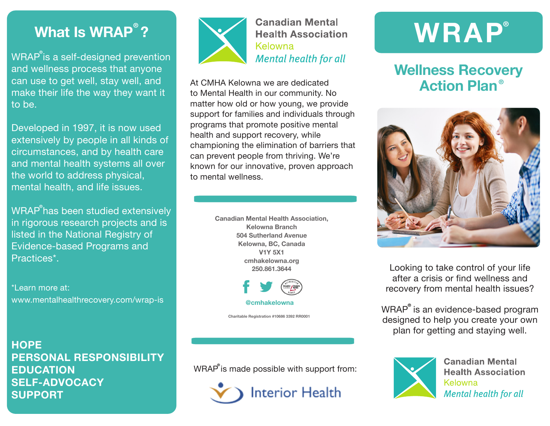### **What Is WRAP<sup>®</sup>?**

WRAP is a self-designed prevention **®**and wellness process that anyone can use to get well, stay well, and make their life the way they want it to be.

Developed in 1997, it is now used extensively by people in all kinds of circumstances, and by health care and mental health systems all over the world to address physical, mental health, and life issues.

 $\mathsf{WRAP}^\mathsf{P}\mathsf{has}$  been studied extensively in rigorous research projects and is listed in the National Registry of Evidence-based Programs and Practices\*.

\*Learn more at: www.mentalhealthrecovery.com/wrap-is

**HOPE PERSONAL RESPONSIBILITY EDUCATION SELF-ADVOCACY SUPPORT**



**Canadian Mental Health Association** Kelowna **Mental health for all** 

At CMHA Kelowna we are dedicated to Mental Health in our community. No matter how old or how young, we provide support for families and individuals through programs that promote positive mental health and support recovery, while championing the elimination of barriers that can prevent people from thriving. We're known for our innovative, proven approach to mental wellness.

> **Canadian Mental Health Association, Kelowna Branch 504 Sutherland Avenue Kelowna, BC, Canada V1Y 5X1 cmhakelowna.org 250.861.3644**



**Charitable Registration #10686 3392 RR0001**

WRAP is made possible with support from: **®**



## **WRAP®**

#### **Wellness Recovery Action Plan ®**



Looking to take control of your life after a crisis or find wellness and recovery from mental health issues?

WRAP is an evidence-based program **®** designed to help you create your own plan for getting and staying well.



**Canadian Mental Health Association** Kelowna **Mental health for all**